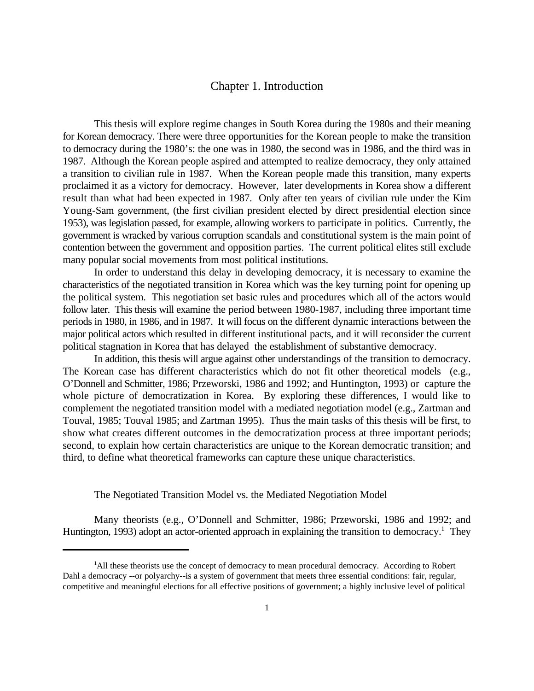## Chapter 1. Introduction

This thesis will explore regime changes in South Korea during the 1980s and their meaning for Korean democracy. There were three opportunities for the Korean people to make the transition to democracy during the 1980's: the one was in 1980, the second was in 1986, and the third was in 1987. Although the Korean people aspired and attempted to realize democracy, they only attained a transition to civilian rule in 1987. When the Korean people made this transition, many experts proclaimed it as a victory for democracy. However, later developments in Korea show a different result than what had been expected in 1987. Only after ten years of civilian rule under the Kim Young-Sam government, (the first civilian president elected by direct presidential election since 1953), was legislation passed, for example, allowing workers to participate in politics. Currently, the government is wracked by various corruption scandals and constitutional system is the main point of contention between the government and opposition parties. The current political elites still exclude many popular social movements from most political institutions.

In order to understand this delay in developing democracy, it is necessary to examine the characteristics of the negotiated transition in Korea which was the key turning point for opening up the political system. This negotiation set basic rules and procedures which all of the actors would follow later. This thesis will examine the period between 1980-1987, including three important time periods in 1980, in 1986, and in 1987. It will focus on the different dynamic interactions between the major political actors which resulted in different institutional pacts, and it will reconsider the current political stagnation in Korea that has delayed the establishment of substantive democracy.

In addition, this thesis will argue against other understandings of the transition to democracy. The Korean case has different characteristics which do not fit other theoretical models (e.g., O'Donnell and Schmitter, 1986; Przeworski, 1986 and 1992; and Huntington, 1993) or capture the whole picture of democratization in Korea. By exploring these differences, I would like to complement the negotiated transition model with a mediated negotiation model (e.g., Zartman and Touval, 1985; Touval 1985; and Zartman 1995). Thus the main tasks of this thesis will be first, to show what creates different outcomes in the democratization process at three important periods; second, to explain how certain characteristics are unique to the Korean democratic transition; and third, to define what theoretical frameworks can capture these unique characteristics.

The Negotiated Transition Model vs. the Mediated Negotiation Model

Many theorists (e.g., O'Donnell and Schmitter, 1986; Przeworski, 1986 and 1992; and Huntington, 1993) adopt an actor-oriented approach in explaining the transition to democracy.<sup>1</sup> They

<sup>&</sup>lt;sup>1</sup>All these theorists use the concept of democracy to mean procedural democracy. According to Robert Dahl a democracy --or polyarchy--is a system of government that meets three essential conditions: fair, regular, competitive and meaningful elections for all effective positions of government; a highly inclusive level of political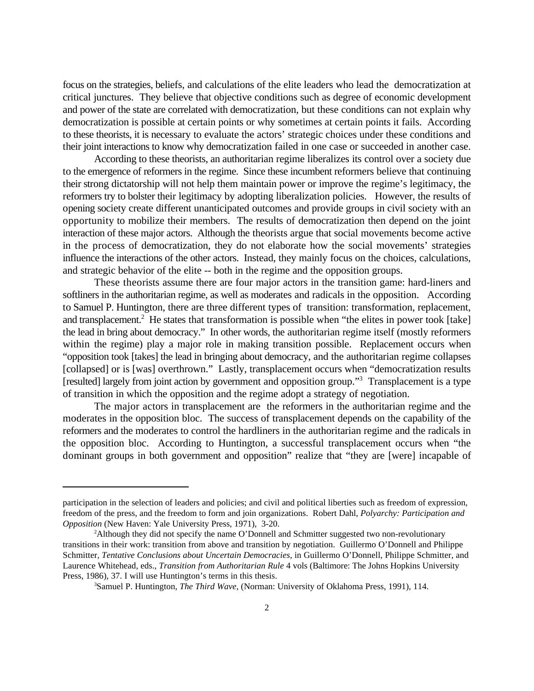focus on the strategies, beliefs, and calculations of the elite leaders who lead the democratization at critical junctures. They believe that objective conditions such as degree of economic development and power of the state are correlated with democratization, but these conditions can not explain why democratization is possible at certain points or why sometimes at certain points it fails. According to these theorists, it is necessary to evaluate the actors' strategic choices under these conditions and their joint interactions to know why democratization failed in one case or succeeded in another case.

According to these theorists, an authoritarian regime liberalizes its control over a society due to the emergence of reformers in the regime. Since these incumbent reformers believe that continuing their strong dictatorship will not help them maintain power or improve the regime's legitimacy, the reformers try to bolster their legitimacy by adopting liberalization policies. However, the results of opening society create different unanticipated outcomes and provide groups in civil society with an opportunity to mobilize their members. The results of democratization then depend on the joint interaction of these major actors. Although the theorists argue that social movements become active in the process of democratization, they do not elaborate how the social movements' strategies influence the interactions of the other actors. Instead, they mainly focus on the choices, calculations, and strategic behavior of the elite -- both in the regime and the opposition groups.

These theorists assume there are four major actors in the transition game: hard-liners and softliners in the authoritarian regime, as well as moderates and radicals in the opposition. According to Samuel P. Huntington, there are three different types of transition: transformation, replacement, and transplacement.<sup>2</sup> He states that transformation is possible when "the elites in power took [take] the lead in bring about democracy." In other words, the authoritarian regime itself (mostly reformers within the regime) play a major role in making transition possible. Replacement occurs when "opposition took [takes] the lead in bringing about democracy, and the authoritarian regime collapses [collapsed] or is [was] overthrown." Lastly, transplacement occurs when "democratization results [resulted] largely from joint action by government and opposition group."<sup>3</sup> Transplacement is a type of transition in which the opposition and the regime adopt a strategy of negotiation.

The major actors in transplacement are the reformers in the authoritarian regime and the moderates in the opposition bloc. The success of transplacement depends on the capability of the reformers and the moderates to control the hardliners in the authoritarian regime and the radicals in the opposition bloc. According to Huntington, a successful transplacement occurs when "the dominant groups in both government and opposition" realize that "they are [were] incapable of

participation in the selection of leaders and policies; and civil and political liberties such as freedom of expression, freedom of the press, and the freedom to form and join organizations. Robert Dahl, *Polyarchy: Participation and Opposition* (New Haven: Yale University Press, 1971), 3-20.

<sup>&</sup>lt;sup>2</sup>Although they did not specify the name O'Donnell and Schmitter suggested two non-revolutionary transitions in their work: transition from above and transition by negotiation. Guillermo O'Donnell and Philippe Schmitter*, Tentative Conclusions about Uncertain Democracies*, in Guillermo O'Donnell, Philippe Schmitter, and Laurence Whitehead, eds., *Transition from Authoritarian Rule* 4 vols (Baltimore: The Johns Hopkins University Press, 1986), 37. I will use Huntington's terms in this thesis.

<sup>&</sup>lt;sup>3</sup> Samuel P. Huntington, *The Third Wave*, (Norman: University of Oklahoma Press, 1991), 114.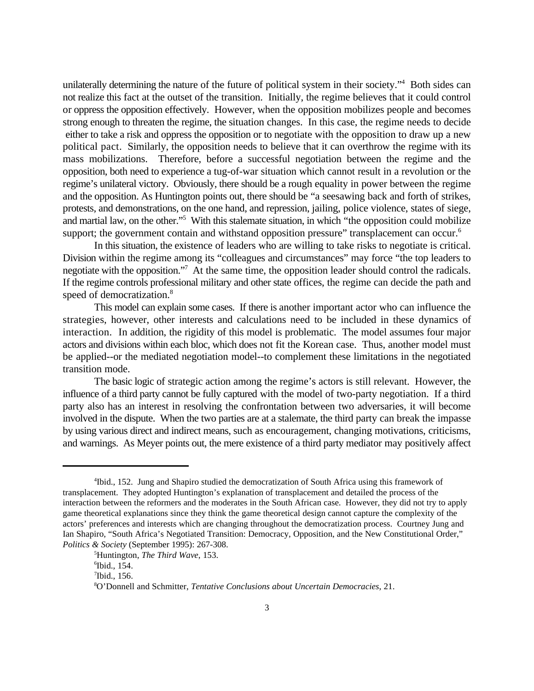unilaterally determining the nature of the future of political system in their society."<sup>4</sup> Both sides can not realize this fact at the outset of the transition. Initially, the regime believes that it could control or oppress the opposition effectively. However, when the opposition mobilizes people and becomes strong enough to threaten the regime, the situation changes. In this case, the regime needs to decide either to take a risk and oppress the opposition or to negotiate with the opposition to draw up a new political pact. Similarly, the opposition needs to believe that it can overthrow the regime with its mass mobilizations. Therefore, before a successful negotiation between the regime and the opposition, both need to experience a tug-of-war situation which cannot result in a revolution or the regime's unilateral victory. Obviously, there should be a rough equality in power between the regime and the opposition. As Huntington points out, there should be "a seesawing back and forth of strikes, protests, and demonstrations, on the one hand, and repression, jailing, police violence, states of siege, and martial law, on the other."<sup>5</sup> With this stalemate situation, in which "the opposition could mobilize support; the government contain and withstand opposition pressure" transplacement can occur.<sup>6</sup>

In this situation, the existence of leaders who are willing to take risks to negotiate is critical. Division within the regime among its "colleagues and circumstances" may force "the top leaders to negotiate with the opposition."<sup>7</sup> At the same time, the opposition leader should control the radicals. If the regime controls professional military and other state offices, the regime can decide the path and speed of democratization.<sup>8</sup>

This model can explain some cases. If there is another important actor who can influence the strategies, however, other interests and calculations need to be included in these dynamics of interaction. In addition, the rigidity of this model is problematic. The model assumes four major actors and divisions within each bloc, which does not fit the Korean case. Thus, another model must be applied--or the mediated negotiation model--to complement these limitations in the negotiated transition mode.

The basic logic of strategic action among the regime's actors is still relevant. However, the influence of a third party cannot be fully captured with the model of two-party negotiation. If a third party also has an interest in resolving the confrontation between two adversaries, it will become involved in the dispute. When the two parties are at a stalemate, the third party can break the impasse by using various direct and indirect means, such as encouragement, changing motivations, criticisms, and warnings. As Meyer points out, the mere existence of a third party mediator may positively affect

<sup>&</sup>lt;sup>4</sup>Ibid., 152. Jung and Shapiro studied the democratization of South Africa using this framework of transplacement. They adopted Huntington's explanation of transplacement and detailed the process of the interaction between the reformers and the moderates in the South African case. However, they did not try to apply game theoretical explanations since they think the game theoretical design cannot capture the complexity of the actors' preferences and interests which are changing throughout the democratization process. Courtney Jung and Ian Shapiro, "South Africa's Negotiated Transition: Democracy, Opposition, and the New Constitutional Order," *Politics & Society* (September 1995): 267-308.

<sup>&</sup>lt;sup>5</sup>Huntington, *The Third Wave*, 153.

 $\mathrm{^6}$ Ibid., 154.

 $\mathrm{7}$ Ibid., 156.

O'Donnell and Schmitter, *Tentative Conclusions about Uncertain Democracies*, 21. <sup>8</sup>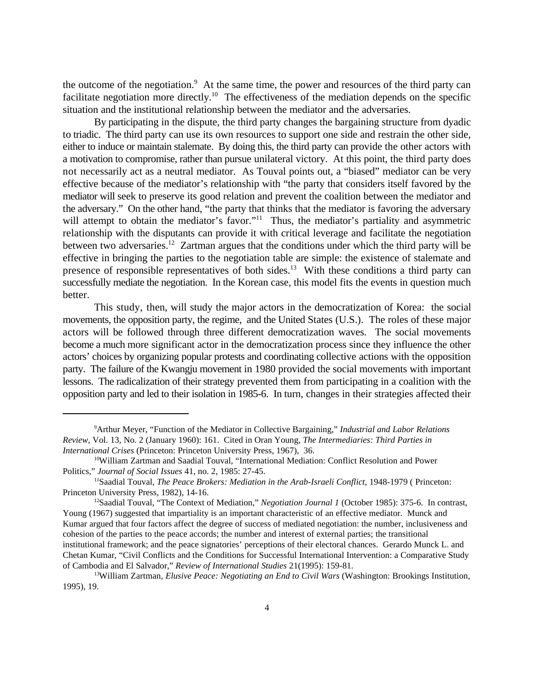the outcome of the negotiation. $\alpha$  At the same time, the power and resources of the third party can facilitate negotiation more directly.<sup>10</sup> The effectiveness of the mediation depends on the specific situation and the institutional relationship between the mediator and the adversaries.

By participating in the dispute, the third party changes the bargaining structure from dyadic to triadic. The third party can use its own resources to support one side and restrain the other side, either to induce or maintain stalemate. By doing this, the third party can provide the other actors with a motivation to compromise, rather than pursue unilateral victory. At this point, the third party does not necessarily act as a neutral mediator. As Touval points out, a "biased" mediator can be very effective because of the mediator's relationship with "the party that considers itself favored by the mediator will seek to preserve its good relation and prevent the coalition between the mediator and the adversary." On the other hand, "the party that thinks that the mediator is favoring the adversary will attempt to obtain the mediator's favor."<sup>11</sup> Thus, the mediator's partiality and asymmetric relationship with the disputants can provide it with critical leverage and facilitate the negotiation between two adversaries.<sup>12</sup> Zartman argues that the conditions under which the third party will be effective in bringing the parties to the negotiation table are simple: the existence of stalemate and presence of responsible representatives of both sides.<sup>13</sup> With these conditions a third party can successfully mediate the negotiation. In the Korean case, this model fits the events in question much better.

This study, then, will study the major actors in the democratization of Korea: the social movements, the opposition party, the regime, and the United States (U.S.). The roles of these major actors will be followed through three different democratization waves. The social movements become a much more significant actor in the democratization process since they influence the other actors' choices by organizing popular protests and coordinating collective actions with the opposition party. The failure of the Kwangju movement in 1980 provided the social movements with important lessons. The radicalization of their strategy prevented them from participating in a coalition with the opposition party and led to their isolation in 1985-6. In turn, changes in their strategies affected their

<sup>&</sup>lt;sup>9</sup> Arthur Meyer, "Function of the Mediator in Collective Bargaining," *Industrial and Labor Relations Review*, Vol. 13, No. 2 (January 1960): 161. Cited in Oran Young, *The Intermediaries: Third Parties in International Crises* (Princeton: Princeton University Press, 1967), 36.

<sup>&</sup>lt;sup>10</sup>William Zartman and Saadial Touval, "International Mediation: Conflict Resolution and Power Politics," *Journal of Social Issues* 41, no. 2, 1985: 27-45.

<sup>&</sup>lt;sup>11</sup>Saadial Touval, *The Peace Brokers: Mediation in the Arab-Israeli Conflict*, 1948-1979 ( Princeton: Princeton University Press, 1982), 14-16.

<sup>&</sup>lt;sup>12</sup>Saadial Touval, "The Context of Mediation," *Negotiation Journal 1* (October 1985): 375-6. In contrast, Young (1967) suggested that impartiality is an important characteristic of an effective mediator. Munck and Kumar argued that four factors affect the degree of success of mediated negotiation: the number, inclusiveness and cohesion of the parties to the peace accords; the number and interest of external parties; the transitional institutional framework; and the peace signatories' perceptions of their electoral chances. Gerardo Munck L. and Chetan Kumar, "Civil Conflicts and the Conditions for Successful International Intervention: a Comparative Study of Cambodia and El Salvador," *Review of International Studies* 21(1995): 159-81.

<sup>&</sup>lt;sup>13</sup>William Zartman, *Elusive Peace: Negotiating an End to Civil Wars* (Washington: Brookings Institution, 1995), 19.